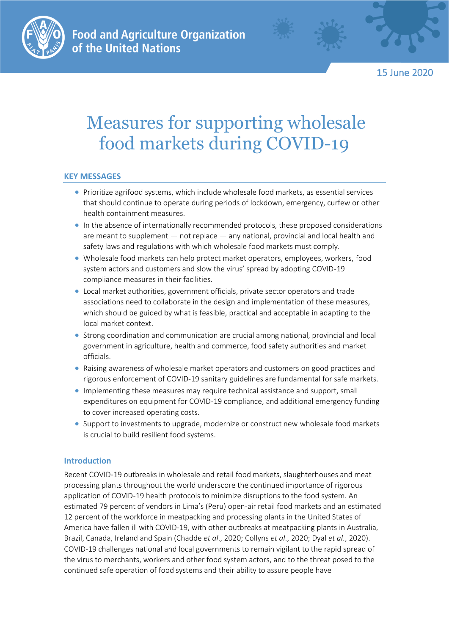

15 June 2020

# Measures for supporting wholesale food markets during COVID-19

# **KEY MESSAGES**

- Prioritize agrifood systems, which include wholesale food markets, as essential services that should continue to operate during periods of lockdown, emergency, curfew or other health containment measures.
- In the absence of internationally recommended protocols, these proposed considerations are meant to supplement — not replace — any national, provincial and local health and safety laws and regulations with which wholesale food markets must comply.
- Wholesale food markets can help protect market operators, employees, workers, food system actors and customers and slow the virus' spread by adopting COVID-19 compliance measures in their facilities.
- Local market authorities, government officials, private sector operators and trade associations need to collaborate in the design and implementation of these measures, which should be guided by what is feasible, practical and acceptable in adapting to the local market context.
- Strong coordination and communication are crucial among national, provincial and local government in agriculture, health and commerce, food safety authorities and market officials.
- Raising awareness of wholesale market operators and customers on good practices and rigorous enforcement of COVID-19 sanitary guidelines are fundamental for safe markets.
- Implementing these measures may require technical assistance and support, small expenditures on equipment for COVID-19 compliance, and additional emergency funding to cover increased operating costs.
- Support to investments to upgrade, modernize or construct new wholesale food markets is crucial to build resilient food systems.

# **Introduction**

Recent COVID-19 outbreaks in wholesale and retail food markets, slaughterhouses and meat processing plants throughout the world underscore the continued importance of rigorous application of COVID-19 health protocols to minimize disruptions to the food system. An estimated 79 percent of vendors in Lima's (Peru) open-air retail food markets and an estimated 12 percent of the workforce in meatpacking and processing plants in the United States of America have fallen ill with COVID-19, with other outbreaks at meatpacking plants in Australia, Brazil, Canada, Ireland and Spain (Chadde *et al*., 2020; Collyns *et al*., 2020; Dyal *et al*., 2020). COVID-19 challenges national and local governments to remain vigilant to the rapid spread of the virus to merchants, workers and other food system actors, and to the threat posed to the continued safe operation of food systems and their ability to assure people have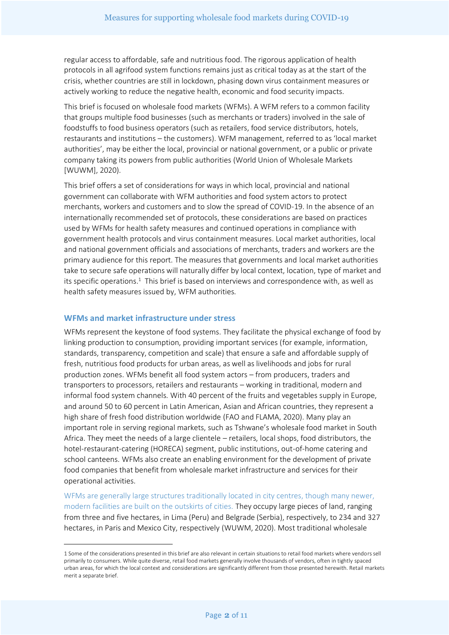regular access to affordable, safe and nutritious food. The rigorous application of health protocols in all agrifood system functions remains just as critical today as at the start of the crisis, whether countries are still in lockdown, phasing down virus containment measures or actively working to reduce the negative health, economic and food security impacts.

This brief is focused on wholesale food markets (WFMs). A WFM refers to a common facility that groups multiple food businesses (such as merchants or traders) involved in the sale of foodstuffs to food business operators (such as retailers, food service distributors, hotels, restaurants and institutions – the customers). WFM management, referred to as 'local market authorities', may be either the local, provincial or national government, or a public or private company taking its powers from public authorities (World Union of Wholesale Markets [WUWM], 2020).

This brief offers a set of considerations for ways in which local, provincial and national government can collaborate with WFM authorities and food system actors to protect merchants, workers and customers and to slow the spread of COVID-19. In the absence of an internationally recommended set of protocols, these considerations are based on practices used by WFMs for health safety measures and continued operations in compliance with government health protocols and virus containment measures. Local market authorities, local and national government officials and associations of merchants, traders and workers are the primary audience for this report. The measures that governments and local market authorities take to secure safe operations will naturally differ by local context, location, type of market and its specific operations.<sup>1</sup> This brief is based on interviews and correspondence with, as well as health safety measures issued by, WFM authorities.

## **WFMs and market infrastructure under stress**

WFMs represent the keystone of food systems. They facilitate the physical exchange of food by linking production to consumption, providing important services (for example, information, standards, transparency, competition and scale) that ensure a safe and affordable supply of fresh, nutritious food products for urban areas, as well as livelihoods and jobs for rural production zones. WFMs benefit all food system actors – from producers, traders and transporters to processors, retailers and restaurants – working in traditional, modern and informal food system channels. With 40 percent of the fruits and vegetables supply in Europe, and around 50 to 60 percent in Latin American, Asian and African countries, they represent a high share of fresh food distribution worldwide (FAO and FLAMA, 2020). Many play an important role in serving regional markets, such as Tshwane's wholesale food market in South Africa. They meet the needs of a large clientele – retailers, local shops, food distributors, the hotel-restaurant-catering (HORECA) segment, public institutions, out-of-home catering and school canteens. WFMs also create an enabling environment for the development of private food companies that benefit from wholesale market infrastructure and services for their operational activities.

WFMs are generally large structures traditionally located in city centres, though many newer, modern facilities are built on the outskirts of cities. They occupy large pieces of land, ranging from three and five hectares, in Lima (Peru) and Belgrade (Serbia), respectively, to 234 and 327 hectares, in Paris and Mexico City, respectively (WUWM, 2020). Most traditional wholesale

<sup>1</sup> Some of the considerations presented in this brief are also relevant in certain situations to retail food markets where vendors sell primarily to consumers. While quite diverse, retail food markets generally involve thousands of vendors, often in tightly spaced urban areas, for which the local context and considerations are significantly different from those presented herewith. Retail markets merit a separate brief.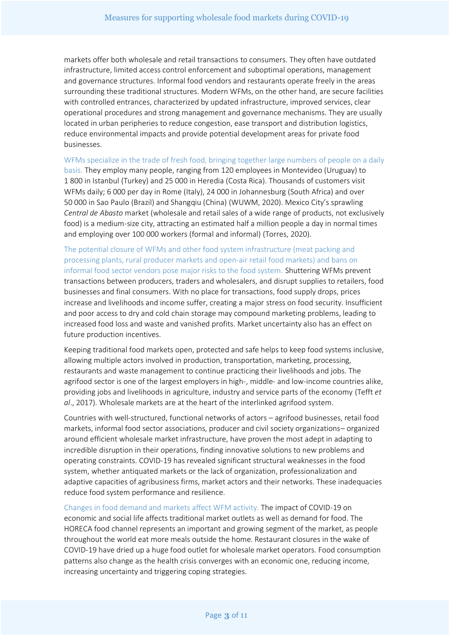markets offer both wholesale and retail transactions to consumers. They often have outdated infrastructure, limited access control enforcement and suboptimal operations, management and governance structures. Informal food vendors and restaurants operate freely in the areas surrounding these traditional structures. Modern WFMs, on the other hand, are secure facilities with controlled entrances, characterized by updated infrastructure, improved services, clear operational procedures and strong management and governance mechanisms. They are usually located in urban peripheries to reduce congestion, ease transport and distribution logistics, reduce environmental impacts and provide potential development areas for private food businesses.

WFMs specialize in the trade of fresh food, bringing together large numbers of people on a daily basis. They employ many people, ranging from 120 employees in Montevideo (Uruguay) to 1 800 in Istanbul (Turkey) and 25 000 in Heredia (Costa Rica). Thousands of customers visit WFMs daily; 6 000 per day in Rome (Italy), 24 000 in Johannesburg (South Africa) and over 50 000 in Sao Paulo (Brazil) and Shangqiu (China) (WUWM, 2020). Mexico City's sprawling *Central de Abasto* market (wholesale and retail sales of a wide range of products, not exclusively food) is a medium-size city, attracting an estimated half a million people a day in normal times and employing over 100 000 workers (formal and informal) (Torres, 2020).

The potential closure of WFMs and other food system infrastructure (meat packing and processing plants, rural producer markets and open-air retail food markets) and bans on informal food sector vendors pose major risks to the food system. Shuttering WFMs prevent transactions between producers, traders and wholesalers, and disrupt supplies to retailers, food businesses and final consumers. With no place for transactions, food supply drops, prices increase and livelihoods and income suffer, creating a major stress on food security. Insufficient and poor access to dry and cold chain storage may compound marketing problems, leading to increased food loss and waste and vanished profits. Market uncertainty also has an effect on future production incentives.

Keeping traditional food markets open, protected and safe helps to keep food systems inclusive, allowing multiple actors involved in production, transportation, marketing, processing, restaurants and waste management to continue practicing their livelihoods and jobs. The agrifood sector is one of the largest employers in high-, middle- and low-income countries alike, providing jobs and livelihoods in agriculture, industry and service parts of the economy (Tefft *et al*., 2017). Wholesale markets are at the heart of the interlinked agrifood system.

Countries with well-structured, functional networks of actors – agrifood businesses, retail food markets, informal food sector associations, producer and civil society organizations– organized around efficient wholesale market infrastructure, have proven the most adept in adapting to incredible disruption in their operations, finding innovative solutions to new problems and operating constraints. COVID-19 has revealed significant structural weaknesses in the food system, whether antiquated markets or the lack of organization, professionalization and adaptive capacities of agribusiness firms, market actors and their networks. These inadequacies reduce food system performance and resilience.

Changes in food demand and markets affect WFM activity. The impact of COVID-19 on economic and social life affects traditional market outlets as well as demand for food. The HORECA food channel represents an important and growing segment of the market, as people throughout the world eat more meals outside the home. Restaurant closures in the wake of COVID-19 have dried up a huge food outlet for wholesale market operators. Food consumption patterns also change as the health crisis converges with an economic one, reducing income, increasing uncertainty and triggering coping strategies.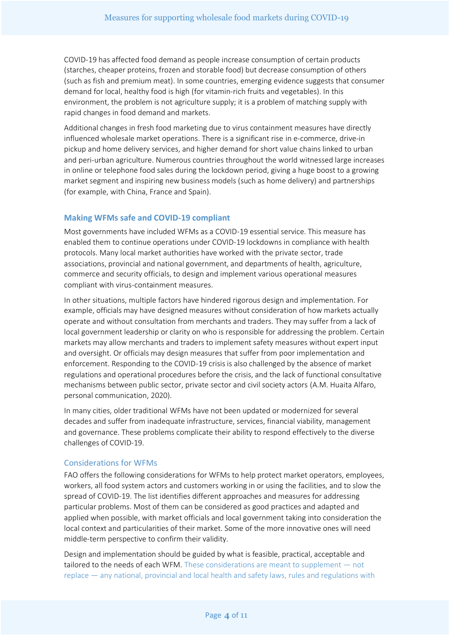COVID-19 has affected food demand as people increase consumption of certain products (starches, cheaper proteins, frozen and storable food) but decrease consumption of others (such as fish and premium meat). In some countries, emerging evidence suggests that consumer demand for local, healthy food is high (for vitamin-rich fruits and vegetables). In this environment, the problem is not agriculture supply; it is a problem of matching supply with rapid changes in food demand and markets.

Additional changes in fresh food marketing due to virus containment measures have directly influenced wholesale market operations. There is a significant rise in e-commerce, drive-in pickup and home delivery services, and higher demand for short value chains linked to urban and peri-urban agriculture. Numerous countries throughout the world witnessed large increases in online or telephone food sales during the lockdown period, giving a huge boost to a growing market segment and inspiring new business models (such as home delivery) and partnerships (for example, with China, France and Spain).

## **Making WFMs safe and COVID-19 compliant**

Most governments have included WFMs as a COVID-19 essential service. This measure has enabled them to continue operations under COVID-19 lockdowns in compliance with health protocols. Many local market authorities have worked with the private sector, trade associations, provincial and national government, and departments of health, agriculture, commerce and security officials, to design and implement various operational measures compliant with virus-containment measures.

In other situations, multiple factors have hindered rigorous design and implementation. For example, officials may have designed measures without consideration of how markets actually operate and without consultation from merchants and traders. They may suffer from a lack of local government leadership or clarity on who is responsible for addressing the problem. Certain markets may allow merchants and traders to implement safety measures without expert input and oversight. Or officials may design measures that suffer from poor implementation and enforcement. Responding to the COVID-19 crisis is also challenged by the absence of market regulations and operational procedures before the crisis, and the lack of functional consultative mechanisms between public sector, private sector and civil society actors (A.M. Huaita Alfaro, personal communication, 2020).

In many cities, older traditional WFMs have not been updated or modernized for several decades and suffer from inadequate infrastructure, services, financial viability, management and governance. These problems complicate their ability to respond effectively to the diverse challenges of COVID-19.

## Considerations for WFMs

FAO offers the following considerations for WFMs to help protect market operators, employees, workers, all food system actors and customers working in or using the facilities, and to slow the spread of COVID-19. The list identifies different approaches and measures for addressing particular problems. Most of them can be considered as good practices and adapted and applied when possible, with market officials and local government taking into consideration the local context and particularities of their market. Some of the more innovative ones will need middle-term perspective to confirm their validity.

Design and implementation should be guided by what is feasible, practical, acceptable and tailored to the needs of each WFM. These considerations are meant to supplement — not replace — any national, provincial and local health and safety laws, rules and regulations with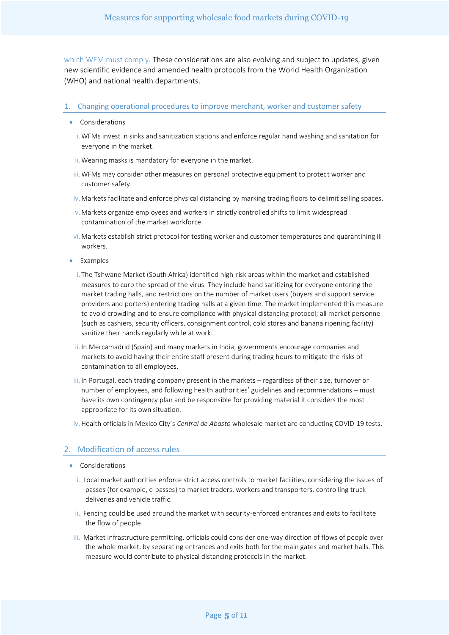which WFM must comply. These considerations are also evolving and subject to updates, given new scientific evidence and amended health protocols from the World Health Organization (WHO) and national health departments.

#### 1. Changing operational procedures to improve merchant, worker and customer safety

- Considerations
	- i.WFMs invest in sinks and sanitization stations and enforce regular hand washing and sanitation for everyone in the market.
	- ii. Wearing masks is mandatory for everyone in the market.
- iii.WFMs may consider other measures on personal protective equipment to protect worker and customer safety.
- iv.Markets facilitate and enforce physical distancing by marking trading floors to delimit selling spaces.
- v.Markets organize employees and workers in strictly controlled shifts to limit widespread contamination of the market workforce.
- vi.Markets establish strict protocol for testing worker and customer temperatures and quarantining ill workers.
- Examples
	- i. The Tshwane Market (South Africa) identified high-risk areas within the market and established measures to curb the spread of the virus. They include hand sanitizing for everyone entering the market trading halls, and restrictions on the number of market users (buyers and support service providers and porters) entering trading halls at a given time. The market implemented this measure to avoid crowding and to ensure compliance with physical distancing protocol; all market personnel (such as cashiers, security officers, consignment control, cold stores and banana ripening facility) sanitize their hands regularly while at work.
	- ii. In Mercamadrid (Spain) and many markets in India, governments encourage companies and markets to avoid having their entire staff present during trading hours to mitigate the risks of contamination to all employees.
- iii. In Portugal, each trading company present in the markets regardless of their size, turnover or number of employees, and following health authorities' guidelines and recommendations – must have its own contingency plan and be responsible for providing material it considers the most appropriate for its own situation.
- iv.Health officials in Mexico City's *Central de Abasto* wholesale market are conducting COVID-19 tests.

#### 2. Modification of access rules

- Considerations
	- i. Local market authorities enforce strict access controls to market facilities, considering the issues of passes (for example, e-passes) to market traders, workers and transporters, controlling truck deliveries and vehicle traffic.
	- ii. Fencing could be used around the market with security-enforced entrances and exits to facilitate the flow of people.
- iii. Market infrastructure permitting, officials could consider one-way direction of flows of people over the whole market, by separating entrances and exits both for the main gates and market halls. This measure would contribute to physical distancing protocols in the market.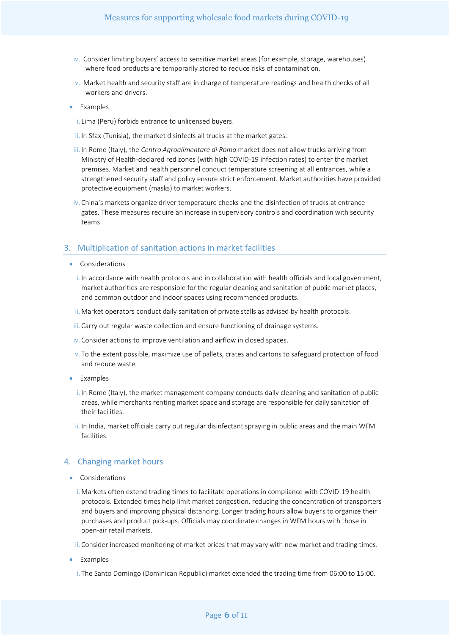- iv. Consider limiting buyers' access to sensitive market areas (for example, storage, warehouses) where food products are temporarily stored to reduce risks of contamination.
- v. Market health and security staff are in charge of temperature readings and health checks of all workers and drivers.
- Examples
	- i. Lima (Peru) forbids entrance to unlicensed buyers.
	- ii. In Sfax (Tunisia), the market disinfects all trucks at the market gates.
- iii. In Rome (Italy), the *Centro Agroalimentare di Roma* market does not allow trucks arriving from Ministry of Health-declared red zones (with high COVID-19 infection rates) to enter the market premises. Market and health personnel conduct temperature screening at all entrances, while a strengthened security staff and policy ensure strict enforcement. Market authorities have provided protective equipment (masks) to market workers.
- iv.China's markets organize driver temperature checks and the disinfection of trucks at entrance gates. These measures require an increase in supervisory controls and coordination with security teams.

#### 3. Multiplication of sanitation actions in market facilities

- Considerations
	- i. In accordance with health protocols and in collaboration with health officials and local government, market authorities are responsible for the regular cleaning and sanitation of public market places, and common outdoor and indoor spaces using recommended products.
	- ii.Market operators conduct daily sanitation of private stalls as advised by health protocols.
	- iii.Carry out regular waste collection and ensure functioning of drainage systems.
	- iv.Consider actions to improve ventilation and airflow in closed spaces.
	- v. To the extent possible, maximize use of pallets, crates and cartons to safeguard protection of food and reduce waste.
- Examples
	- i. In Rome (Italy), the market management company conducts daily cleaning and sanitation of public areas, while merchants renting market space and storage are responsible for daily sanitation of their facilities.
	- ii. In India, market officials carry out regular disinfectant spraying in public areas and the main WFM facilities.

#### 4. Changing market hours

- Considerations
	- i.Markets often extend trading times to facilitate operations in compliance with COVID-19 health protocols. Extended times help limit market congestion, reducing the concentration of transporters and buyers and improving physical distancing. Longer trading hours allow buyers to organize their purchases and product pick-ups. Officials may coordinate changes in WFM hours with those in open-air retail markets.
	- ii.Consider increased monitoring of market prices that may vary with new market and trading times.
- Examples
	- i. The Santo Domingo (Dominican Republic) market extended the trading time from 06:00 to 15:00.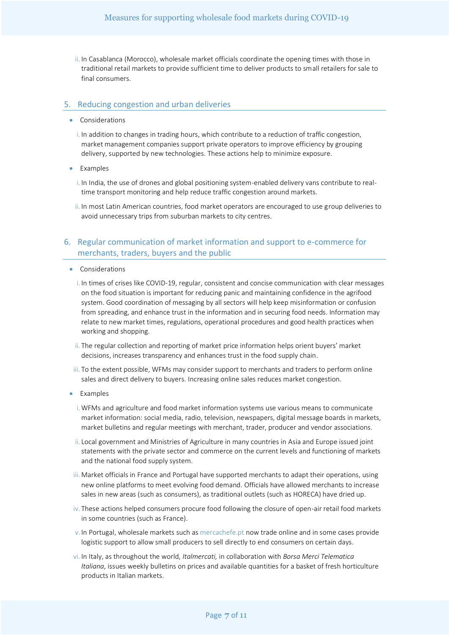ii. In Casablanca (Morocco), wholesale market officials coordinate the opening times with those in traditional retail markets to provide sufficient time to deliver products to small retailers for sale to final consumers.

#### 5. Reducing congestion and urban deliveries

- Considerations
	- i. In addition to changes in trading hours, which contribute to a reduction of traffic congestion, market management companies support private operators to improve efficiency by grouping delivery, supported by new technologies. These actions help to minimize exposure.
- Examples

i. In India, the use of drones and global positioning system-enabled delivery vans contribute to realtime transport monitoring and help reduce traffic congestion around markets.

ii. In most Latin American countries, food market operators are encouraged to use group deliveries to avoid unnecessary trips from suburban markets to city centres.

# 6. Regular communication of market information and support to e-commerce for merchants, traders, buyers and the public

- Considerations
	- i. In times of crises like COVID-19, regular, consistent and concise communication with clear messages on the food situation is important for reducing panic and maintaining confidence in the agrifood system. Good coordination of messaging by all sectors will help keep misinformation or confusion from spreading, and enhance trust in the information and in securing food needs. Information may relate to new market times, regulations, operational procedures and good health practices when working and shopping.
	- ii. The regular collection and reporting of market price information helps orient buyers' market decisions, increases transparency and enhances trust in the food supply chain.
- iii. To the extent possible, WFMs may consider support to merchants and traders to perform online sales and direct delivery to buyers. Increasing online sales reduces market congestion.
- Examples
	- i.WFMs and agriculture and food market information systems use various means to communicate market information: social media, radio, television, newspapers, digital message boards in markets, market bulletins and regular meetings with merchant, trader, producer and vendor associations.
	- ii. Local government and Ministries of Agriculture in many countries in Asia and Europe issued joint statements with the private sector and commerce on the current levels and functioning of markets and the national food supply system.
- iii. Market officials in France and Portugal have supported merchants to adapt their operations, using new online platforms to meet evolving food demand. Officials have allowed merchants to increase sales in new areas (such as consumers), as traditional outlets (such as HORECA) have dried up.
- iv. These actions helped consumers procure food following the closure of open-air retail food markets in some countries (such as France).
- v. In Portugal, wholesale markets such a[s mercachefe.pt](https://mercachefe.pt/pt/) now trade online and in some cases provide logistic support to allow small producers to sell directly to end consumers on certain days.
- vi. In Italy, as throughout the world, *Italmercati,* in collaboration with *Borsa Merci Telematica Italiana*, issues weekly bulletins on prices and available quantities for a basket of fresh horticulture products in Italian markets.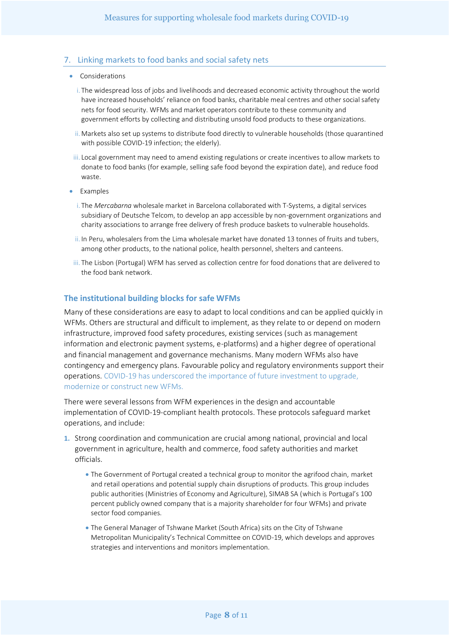# 7. Linking markets to food banks and social safety nets

- Considerations
	- i. The widespread loss of jobs and livelihoods and decreased economic activity throughout the world have increased households' reliance on food banks, charitable meal centres and other social safety nets for food security. WFMs and market operators contribute to these community and government efforts by collecting and distributing unsold food products to these organizations.
	- ii. Markets also set up systems to distribute food directly to vulnerable households (those quarantined with possible COVID-19 infection; the elderly).
	- iii. Local government may need to amend existing regulations or create incentives to allow markets to donate to food banks (for example, selling safe food beyond the expiration date), and reduce food waste.
- Examples
	- i. The *Mercabarna* wholesale market in Barcelona collaborated with T-Systems, a digital services subsidiary of Deutsche Telcom, to develop an app accessible by non-government organizations and charity associations to arrange free delivery of fresh produce baskets to vulnerable households.
	- ii. In Peru, wholesalers from the Lima wholesale market have donated 13 tonnes of fruits and tubers, among other products, to the national police, health personnel, shelters and canteens.
- iii. The Lisbon (Portugal) WFM has served as collection centre for food donations that are delivered to the food bank network.

# **The institutional building blocks for safe WFMs**

Many of these considerations are easy to adapt to local conditions and can be applied quickly in WFMs. Others are structural and difficult to implement, as they relate to or depend on modern infrastructure, improved food safety procedures, existing services (such as management information and electronic payment systems, e-platforms) and a higher degree of operational and financial management and governance mechanisms. Many modern WFMs also have contingency and emergency plans. Favourable policy and regulatory environments support their operations. COVID-19 has underscored the importance of future investment to upgrade, modernize or construct new WFMs.

There were several lessons from WFM experiences in the design and accountable implementation of COVID-19-compliant health protocols. These protocols safeguard market operations, and include:

- **1.** Strong coordination and communication are crucial among national, provincial and local government in agriculture, health and commerce, food safety authorities and market officials.
	- The Government of Portugal created a technical group to monitor the agrifood chain, market and retail operations and potential supply chain disruptions of products. This group includes public authorities (Ministries of Economy and Agriculture), SIMAB SA (which is Portugal's 100 percent publicly owned company that is a majority shareholder for four WFMs) and private sector food companies.
	- The General Manager of Tshwane Market (South Africa) sits on the City of Tshwane Metropolitan Municipality's Technical Committee on COVID-19, which develops and approves strategies and interventions and monitors implementation.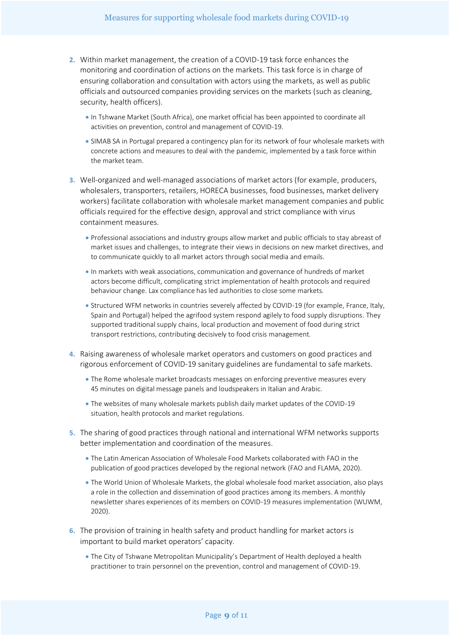- **2.** Within market management, the creation of a COVID-19 task force enhances the monitoring and coordination of actions on the markets. This task force is in charge of ensuring collaboration and consultation with actors using the markets, as well as public officials and outsourced companies providing services on the markets (such as cleaning, security, health officers).
	- In Tshwane Market (South Africa), one market official has been appointed to coordinate all activities on prevention, control and management of COVID-19.
	- SIMAB SA in Portugal prepared a contingency plan for its network of four wholesale markets with concrete actions and measures to deal with the pandemic, implemented by a task force within the market team.
- **3.** Well-organized and well-managed associations of market actors (for example, producers, wholesalers, transporters, retailers, HORECA businesses, food businesses, market delivery workers) facilitate collaboration with wholesale market management companies and public officials required for the effective design, approval and strict compliance with virus containment measures.
	- Professional associations and industry groups allow market and public officials to stay abreast of market issues and challenges, to integrate their views in decisions on new market directives, and to communicate quickly to all market actors through social media and emails.
	- In markets with weak associations, communication and governance of hundreds of market actors become difficult, complicating strict implementation of health protocols and required behaviour change. Lax compliance has led authorities to close some markets.
	- Structured WFM networks in countries severely affected by COVID-19 (for example, France, Italy, Spain and Portugal) helped the agrifood system respond agilely to food supply disruptions. They supported traditional supply chains, local production and movement of food during strict transport restrictions, contributing decisively to food crisis management.
- **4.** Raising awareness of wholesale market operators and customers on good practices and rigorous enforcement of COVID-19 sanitary guidelines are fundamental to safe markets.
	- The Rome wholesale market broadcasts messages on enforcing preventive measures every 45 minutes on digital message panels and loudspeakers in Italian and Arabic.
	- The websites of many wholesale markets publish daily market updates of the COVID-19 situation, health protocols and market regulations.
- **5.** The sharing of good practices through national and international WFM networks supports better implementation and coordination of the measures.
	- The Latin American Association of Wholesale Food Markets collaborated with FAO in the publication of good practices developed by the regional network (FAO and FLAMA, 2020).
	- The World Union of Wholesale Markets, the global wholesale food market association, also plays a role in the collection and dissemination of good practices among its members. A monthly newsletter shares experiences of its members on COVID-19 measures implementation (WUWM, 2020).
- **6.** The provision of training in health safety and product handling for market actors is important to build market operators' capacity.
	- The City of Tshwane Metropolitan Municipality's Department of Health deployed a health practitioner to train personnel on the prevention, control and management of COVID-19.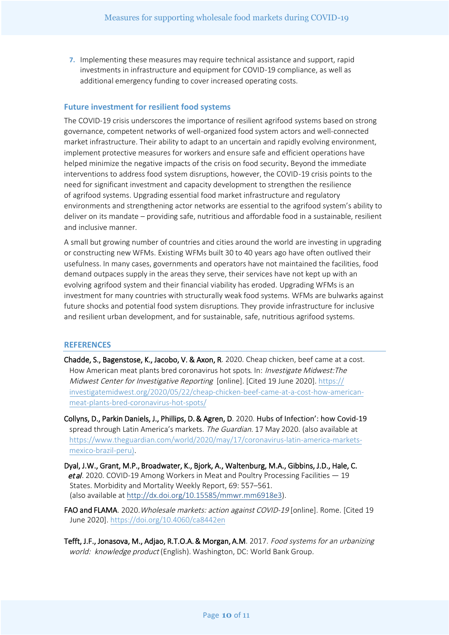**7.** Implementing these measures may require technical assistance and support, rapid investments in infrastructure and equipment for COVID-19 compliance, as well as additional emergency funding to cover increased operating costs.

# **Future investment for resilient food systems**

The COVID-19 crisis underscores the importance of resilient agrifood systems based on strong governance, competent networks of well-organized food system actors and well-connected market infrastructure. Their ability to adapt to an uncertain and rapidly evolving environment, implement protective measures for workers and ensure safe and efficient operations have helped minimize the negative impacts of the crisis on food security. Beyond the immediate interventions to address food system disruptions, however, the COVID-19 crisis points to the need for significant investment and capacity development to strengthen the resilience of agrifood systems. Upgrading essential food market infrastructure and regulatory environments and strengthening actor networks are essential to the agrifood system's ability to deliver on its mandate – providing safe, nutritious and affordable food in a sustainable, resilient and inclusive manner.

A small but growing number of countries and cities around the world are investing in upgrading or constructing new WFMs. Existing WFMs built 30 to 40 years ago have often outlived their usefulness. In many cases, governments and operators have not maintained the facilities, food demand outpaces supply in the areas they serve, their services have not kept up with an evolving agrifood system and their financial viability has eroded. Upgrading WFMs is an investment for many countries with structurally weak food systems. WFMs are bulwarks against future shocks and potential food system disruptions. They provide infrastructure for inclusive and resilient urban development, and for sustainable, safe, nutritious agrifood systems.

#### **REFERENCES**

Chadde, S., Bagenstose, K., Jacobo, V. & Axon, R. 2020. Cheap chicken, beef came at a cost. How American meat plants bred coronavirus hot spots. In: Investigate Midwest: The Midwest Center for Investigative Reporting [online]. [Cited 19 June 2020]. [https://](https://investigatemidwest.org/2020/05/22/cheap-chicken-beef-came-at-a-cost-how-american-meat-plants-bred-coronavirus-hot-spots/) [investigatemidwest.org/2020/05/22/cheap-chicken-beef-came-at-a-cost-how-american](https://investigatemidwest.org/2020/05/22/cheap-chicken-beef-came-at-a-cost-how-american-meat-plants-bred-coronavirus-hot-spots/)meat-plants-bred-coronavirus-hot-spots/

Collyns, D., Parkin Daniels, J., Phillips, D. & Agren, D. 2020. Hubs of Infection': how Covid-19 spread through Latin America's markets. The Guardian. 17 May 2020. (also available at [https://www.theguardian.com/world/2020/may/17/coronavirus-latin-america-markets](https://www.theguardian.com/world/2020/may/17/coronavirus-latin-america-markets-mexico-brazil-peru)[mexico-brazil-peru\).](https://www.theguardian.com/world/2020/may/17/coronavirus-latin-america-markets-mexico-brazil-peru)

- Dyal, J.W., Grant, M.P., Broadwater, K., Bjork, A., Waltenburg, M.A., Gibbins, J.D., Hale, C. et al. 2020. COVID-19 Among Workers in Meat and Poultry Processing Facilities  $-19$  States. Morbidity and Mortality Weekly Report, 69: 557–561. (also [available at http://dx.doi.org/10.15585/mmwr.mm6918e3\).](http://dx.doi.org/10.15585/mmwr.mm6918e3)
- FAO and FLAMA. 2020. Wholesale markets: action against COVID-19 [online]. Rome. [Cited 19 June 2020].<https://doi.org/10.4060/ca8442en>
- Tefft, J.F., Jonasova, M., Adjao, R.T.O.A. & Morgan, A.M. 2017. Food systems for an urbanizing world: knowledge product (English). Washington, DC: World Bank Group.